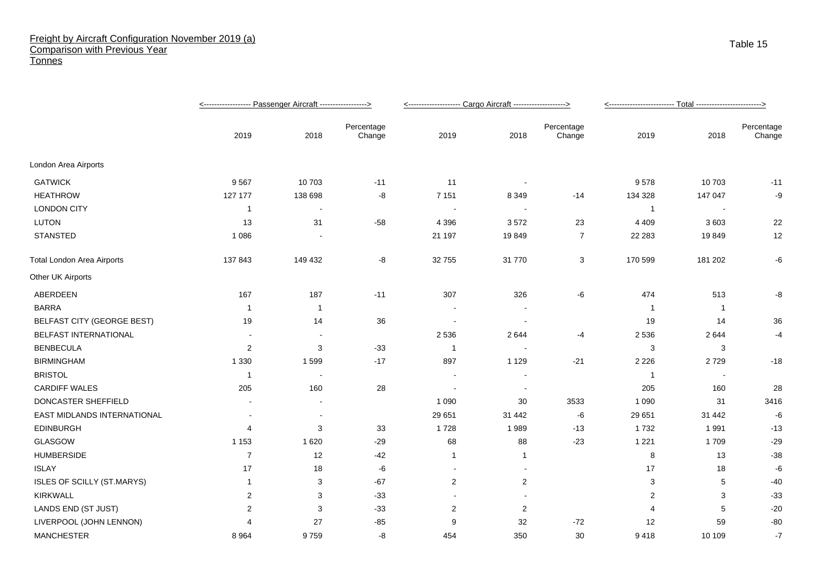## Freight by Aircraft Configuration November 2019 (a) Comparison with Previous Year **Tonnes**

|                                   |                |                |                      | <-------------------- Cargo Aircraft -------------------> |                          |                      |                       |         |                      |
|-----------------------------------|----------------|----------------|----------------------|-----------------------------------------------------------|--------------------------|----------------------|-----------------------|---------|----------------------|
|                                   | 2019           | 2018           | Percentage<br>Change | 2019                                                      | 2018                     | Percentage<br>Change | 2019                  | 2018    | Percentage<br>Change |
| London Area Airports              |                |                |                      |                                                           |                          |                      |                       |         |                      |
| <b>GATWICK</b>                    | 9567           | 10703          | $-11$                | 11                                                        | $\overline{\phantom{a}}$ |                      | 9578                  | 10703   | $-11$                |
| <b>HEATHROW</b>                   | 127 177        | 138 698        | -8                   | 7 1 5 1                                                   | 8 3 4 9                  | $-14$                | 134 328               | 147 047 | -9                   |
| <b>LONDON CITY</b>                | $\mathbf 1$    | $\blacksquare$ |                      | $\overline{\phantom{a}}$                                  | $\overline{\phantom{a}}$ |                      | $\overline{1}$        |         |                      |
| <b>LUTON</b>                      | 13             | 31             | $-58$                | 4 3 9 6                                                   | 3572                     | 23                   | 4 4 0 9               | 3603    | 22                   |
| <b>STANSTED</b>                   | 1 0 8 6        |                |                      | 21 197                                                    | 19849                    | 7                    | 22 28 3               | 19849   | 12                   |
| <b>Total London Area Airports</b> | 137843         | 149 432        | -8                   | 32 755                                                    | 31 770                   | 3                    | 170 599               | 181 202 | -6                   |
| Other UK Airports                 |                |                |                      |                                                           |                          |                      |                       |         |                      |
| ABERDEEN                          | 167            | 187            | $-11$                | 307                                                       | 326                      | -6                   | 474                   | 513     | -8                   |
| <b>BARRA</b>                      | -1             | -1             |                      |                                                           |                          |                      | - 1                   | -1      |                      |
| <b>BELFAST CITY (GEORGE BEST)</b> | 19             | 14             | 36                   | $\sim$                                                    | $\overline{\phantom{a}}$ |                      | 19                    | 14      | 36                   |
| <b>BELFAST INTERNATIONAL</b>      |                |                |                      | 2 5 3 6                                                   | 2644                     | $-4$                 | 2 5 3 6               | 2644    | $-4$                 |
| <b>BENBECULA</b>                  | $\overline{c}$ | 3              | $-33$                | -1                                                        |                          |                      | 3                     | 3       |                      |
| <b>BIRMINGHAM</b>                 | 1 3 3 0        | 1599           | $-17$                | 897                                                       | 1 1 2 9                  | $-21$                | 2 2 2 6               | 2729    | $-18$                |
| <b>BRISTOL</b>                    | -1             |                |                      |                                                           |                          |                      | $\overline{1}$        |         |                      |
| <b>CARDIFF WALES</b>              | 205            | 160            | 28                   |                                                           |                          |                      | 205                   | 160     | 28                   |
| DONCASTER SHEFFIELD               |                |                |                      | 1 0 9 0                                                   | 30                       | 3533                 | 1 0 9 0               | 31      | 3416                 |
| EAST MIDLANDS INTERNATIONAL       | $\blacksquare$ | $\blacksquare$ |                      | 29 651                                                    | 31 442                   | -6                   | 29 651                | 31 442  | -6                   |
| <b>EDINBURGH</b>                  | 4              | 3              | 33                   | 1728                                                      | 1989                     | $-13$                | 1732                  | 1991    | $-13$                |
| GLASGOW                           | 1 1 5 3        | 1620           | $-29$                | 68                                                        | 88                       | $-23$                | 1 2 2 1               | 1709    | $-29$                |
| <b>HUMBERSIDE</b>                 | $\overline{7}$ | 12             | $-42$                | $\mathbf{1}$                                              | 1                        |                      | 8                     | 13      | $-38$                |
| <b>ISLAY</b>                      | 17             | 18             | -6                   | $\sim$                                                    |                          |                      | 17                    | 18      | -6                   |
| ISLES OF SCILLY (ST.MARYS)        | $\mathbf 1$    | 3              | $-67$                | $\overline{c}$                                            | $\overline{2}$           |                      | 3                     | 5       | $-40$                |
| <b>KIRKWALL</b>                   | 2              | 3              | $-33$                | $\blacksquare$                                            |                          |                      | 2                     | 3       | $-33$                |
| LANDS END (ST JUST)               | 2              | 3              | $-33$                | $\overline{2}$                                            | 2                        |                      | $\boldsymbol{\Delta}$ | 5       | $-20$                |
| LIVERPOOL (JOHN LENNON)           |                | 27             | $-85$                | 9                                                         | 32                       | $-72$                | 12                    | 59      | $-80$                |
| <b>MANCHESTER</b>                 | 8 9 6 4        | 9759           | -8                   | 454                                                       | 350                      | 30                   | 9418                  | 10 109  | $-7$                 |